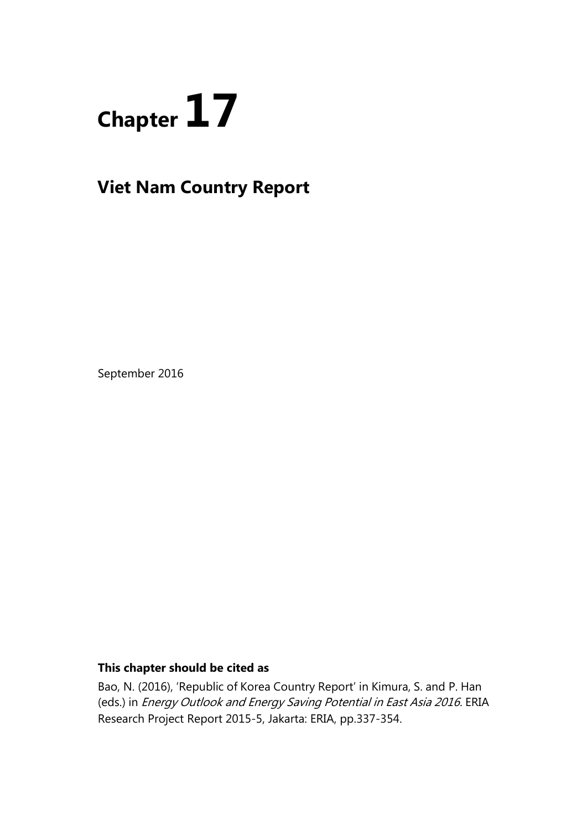

# **Viet Nam Country Report**

September 2016

# **This chapter should be cited as**

Bao, N. (2016), 'Republic of Korea Country Report' in Kimura, S. and P. Han (eds.) in Energy Outlook and Energy Saving Potential in East Asia 2016. ERIA Research Project Report 2015-5, Jakarta: ERIA, pp.337-354.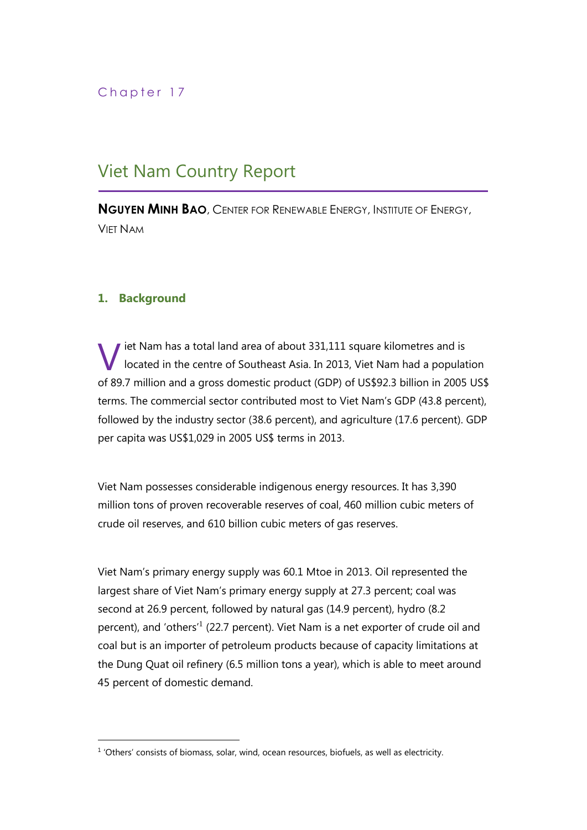# Chapter 17

# Viet Nam Country Report

**NGUYEN MINH BAO**, CENTER FOR RENEWABLE ENERGY, INSTITUTE OF ENERGY, VIET NAM

## **1. Background**

iet Nam has a total land area of about 331,111 square kilometres and is located in the centre of Southeast Asia. In 2013, Viet Nam had a population of 89.7 million and a gross domestic product (GDP) of US\$92.3 billion in 2005 US\$ terms. The commercial sector contributed most to Viet Nam's GDP (43.8 percent), followed by the industry sector (38.6 percent), and agriculture (17.6 percent). GDP per capita was US\$1,029 in 2005 US\$ terms in 2013. V

Viet Nam possesses considerable indigenous energy resources. It has 3,390 million tons of proven recoverable reserves of coal, 460 million cubic meters of crude oil reserves, and 610 billion cubic meters of gas reserves.

Viet Nam's primary energy supply was 60.1 Mtoe in 2013. Oil represented the largest share of Viet Nam's primary energy supply at 27.3 percent; coal was second at 26.9 percent, followed by natural gas (14.9 percent), hydro (8.2 percent), and 'others<sup>'1</sup> (22.7 percent). Viet Nam is a net exporter of crude oil and coal but is an importer of petroleum products because of capacity limitations at the Dung Quat oil refinery (6.5 million tons a year), which is able to meet around 45 percent of domestic demand.

 $<sup>1</sup>$  'Others' consists of biomass, solar, wind, ocean resources, biofuels, as well as electricity.</sup>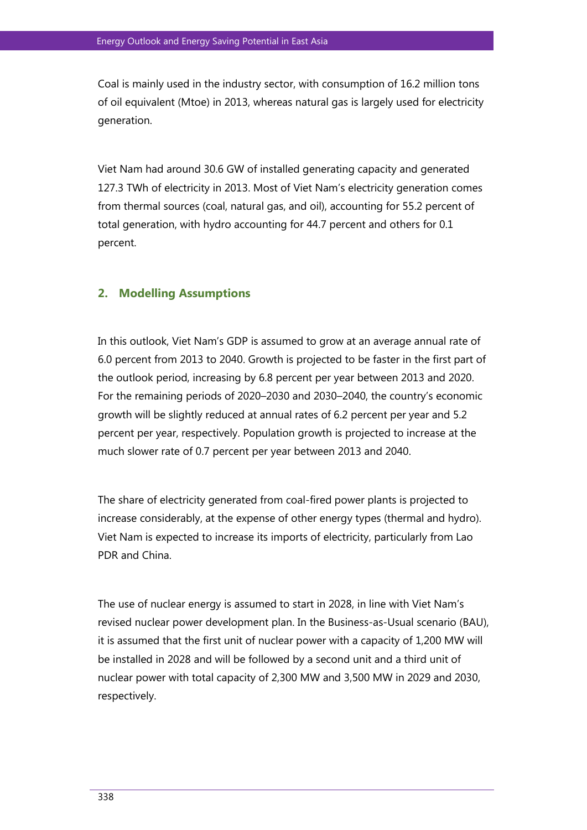Coal is mainly used in the industry sector, with consumption of 16.2 million tons of oil equivalent (Mtoe) in 2013, whereas natural gas is largely used for electricity generation.

Viet Nam had around 30.6 GW of installed generating capacity and generated 127.3 TWh of electricity in 2013. Most of Viet Nam's electricity generation comes from thermal sources (coal, natural gas, and oil), accounting for 55.2 percent of total generation, with hydro accounting for 44.7 percent and others for 0.1 percent.

#### **2. Modelling Assumptions**

In this outlook, Viet Nam's GDP is assumed to grow at an average annual rate of 6.0 percent from 2013 to 2040. Growth is projected to be faster in the first part of the outlook period, increasing by 6.8 percent per year between 2013 and 2020. For the remaining periods of 2020–2030 and 2030–2040, the country's economic growth will be slightly reduced at annual rates of 6.2 percent per year and 5.2 percent per year, respectively. Population growth is projected to increase at the much slower rate of 0.7 percent per year between 2013 and 2040.

The share of electricity generated from coal-fired power plants is projected to increase considerably, at the expense of other energy types (thermal and hydro). Viet Nam is expected to increase its imports of electricity, particularly from Lao PDR and China.

The use of nuclear energy is assumed to start in 2028, in line with Viet Nam's revised nuclear power development plan. In the Business-as-Usual scenario (BAU), it is assumed that the first unit of nuclear power with a capacity of 1,200 MW will be installed in 2028 and will be followed by a second unit and a third unit of nuclear power with total capacity of 2,300 MW and 3,500 MW in 2029 and 2030, respectively.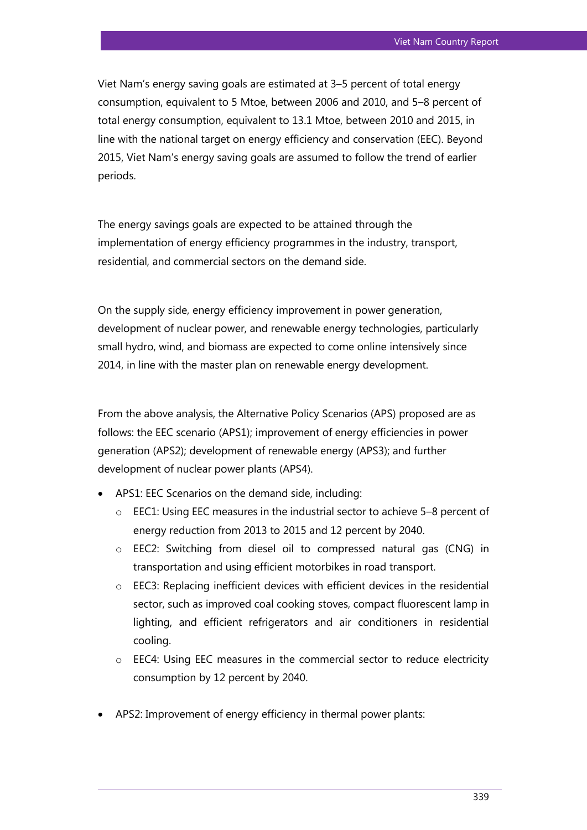Viet Nam's energy saving goals are estimated at 3–5 percent of total energy consumption, equivalent to 5 Mtoe, between 2006 and 2010, and 5–8 percent of total energy consumption, equivalent to 13.1 Mtoe, between 2010 and 2015, in line with the national target on energy efficiency and conservation (EEC). Beyond 2015, Viet Nam's energy saving goals are assumed to follow the trend of earlier periods.

The energy savings goals are expected to be attained through the implementation of energy efficiency programmes in the industry, transport, residential, and commercial sectors on the demand side.

On the supply side, energy efficiency improvement in power generation, development of nuclear power, and renewable energy technologies, particularly small hydro, wind, and biomass are expected to come online intensively since 2014, in line with the master plan on renewable energy development.

From the above analysis, the Alternative Policy Scenarios (APS) proposed are as follows: the EEC scenario (APS1); improvement of energy efficiencies in power generation (APS2); development of renewable energy (APS3); and further development of nuclear power plants (APS4).

- APS1: EEC Scenarios on the demand side, including:
	- o EEC1: Using EEC measures in the industrial sector to achieve 5–8 percent of energy reduction from 2013 to 2015 and 12 percent by 2040.
	- o EEC2: Switching from diesel oil to compressed natural gas (CNG) in transportation and using efficient motorbikes in road transport.
	- o EEC3: Replacing inefficient devices with efficient devices in the residential sector, such as improved coal cooking stoves, compact fluorescent lamp in lighting, and efficient refrigerators and air conditioners in residential cooling.
	- o EEC4: Using EEC measures in the commercial sector to reduce electricity consumption by 12 percent by 2040.
- APS2: Improvement of energy efficiency in thermal power plants: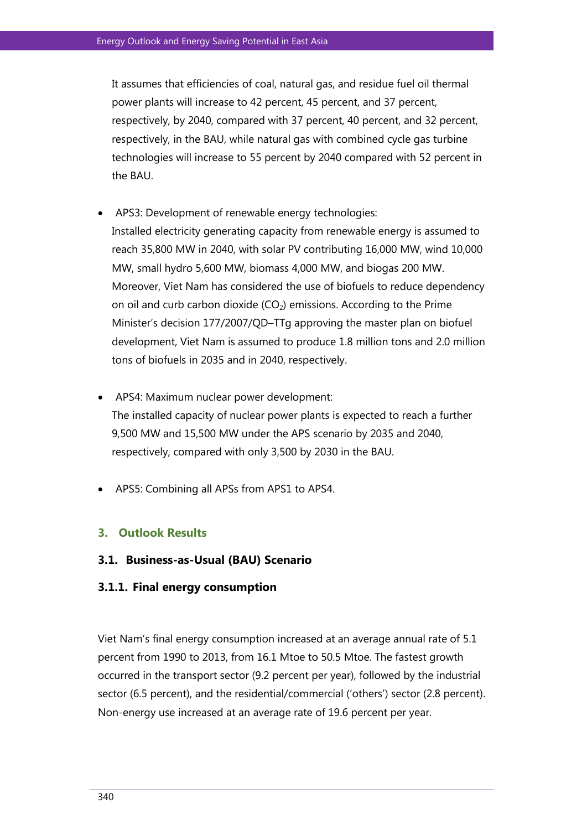It assumes that efficiencies of coal, natural gas, and residue fuel oil thermal power plants will increase to 42 percent, 45 percent, and 37 percent, respectively, by 2040, compared with 37 percent, 40 percent, and 32 percent, respectively, in the BAU, while natural gas with combined cycle gas turbine technologies will increase to 55 percent by 2040 compared with 52 percent in the BAU.

- APS3: Development of renewable energy technologies: Installed electricity generating capacity from renewable energy is assumed to reach 35,800 MW in 2040, with solar PV contributing 16,000 MW, wind 10,000 MW, small hydro 5,600 MW, biomass 4,000 MW, and biogas 200 MW. Moreover, Viet Nam has considered the use of biofuels to reduce dependency on oil and curb carbon dioxide  $(CO<sub>2</sub>)$  emissions. According to the Prime Minister's decision 177/2007/QD–TTg approving the master plan on biofuel development, Viet Nam is assumed to produce 1.8 million tons and 2.0 million tons of biofuels in 2035 and in 2040, respectively.
- APS4: Maximum nuclear power development: The installed capacity of nuclear power plants is expected to reach a further 9,500 MW and 15,500 MW under the APS scenario by 2035 and 2040, respectively, compared with only 3,500 by 2030 in the BAU.
- APS5: Combining all APSs from APS1 to APS4.

#### **3. Outlook Results**

**3.1. Business-as-Usual (BAU) Scenario**

#### **3.1.1. Final energy consumption**

Viet Nam's final energy consumption increased at an average annual rate of 5.1 percent from 1990 to 2013, from 16.1 Mtoe to 50.5 Mtoe. The fastest growth occurred in the transport sector (9.2 percent per year), followed by the industrial sector (6.5 percent), and the residential/commercial ('others') sector (2.8 percent). Non-energy use increased at an average rate of 19.6 percent per year.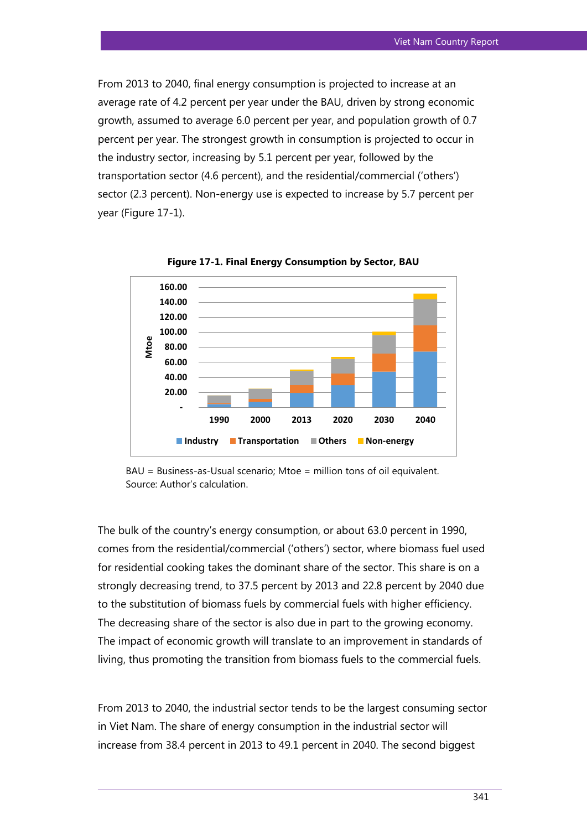From 2013 to 2040, final energy consumption is projected to increase at an average rate of 4.2 percent per year under the BAU, driven by strong economic growth, assumed to average 6.0 percent per year, and population growth of 0.7 percent per year. The strongest growth in consumption is projected to occur in the industry sector, increasing by 5.1 percent per year, followed by the transportation sector (4.6 percent), and the residential/commercial ('others') sector (2.3 percent). Non-energy use is expected to increase by 5.7 percent per year (Figure 17-1).



**Figure 17-1. Final Energy Consumption by Sector, BAU**

BAU = Business-as-Usual scenario; Mtoe = million tons of oil equivalent. Source: Author's calculation.

The bulk of the country's energy consumption, or about 63.0 percent in 1990, comes from the residential/commercial ('others') sector, where biomass fuel used for residential cooking takes the dominant share of the sector. This share is on a strongly decreasing trend, to 37.5 percent by 2013 and 22.8 percent by 2040 due to the substitution of biomass fuels by commercial fuels with higher efficiency. The decreasing share of the sector is also due in part to the growing economy. The impact of economic growth will translate to an improvement in standards of living, thus promoting the transition from biomass fuels to the commercial fuels.

From 2013 to 2040, the industrial sector tends to be the largest consuming sector in Viet Nam. The share of energy consumption in the industrial sector will increase from 38.4 percent in 2013 to 49.1 percent in 2040. The second biggest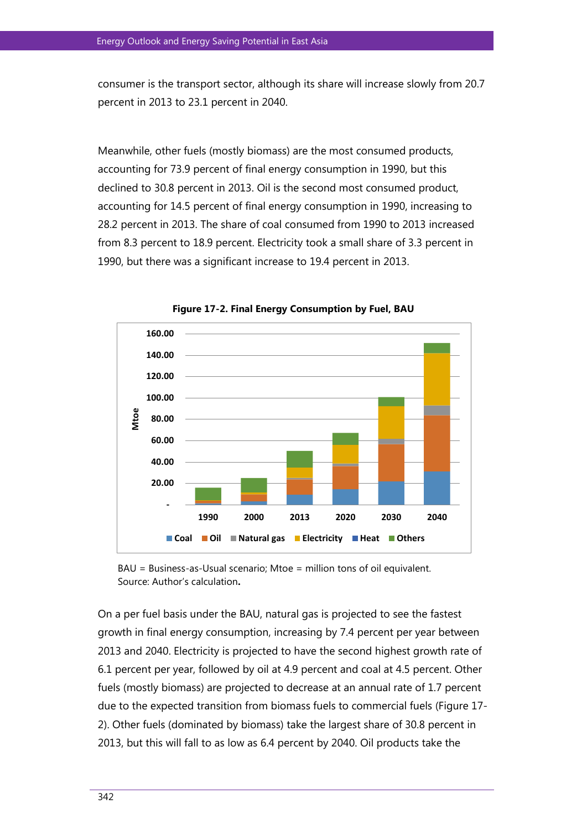consumer is the transport sector, although its share will increase slowly from 20.7 percent in 2013 to 23.1 percent in 2040.

Meanwhile, other fuels (mostly biomass) are the most consumed products, accounting for 73.9 percent of final energy consumption in 1990, but this declined to 30.8 percent in 2013. Oil is the second most consumed product, accounting for 14.5 percent of final energy consumption in 1990, increasing to 28.2 percent in 2013. The share of coal consumed from 1990 to 2013 increased from 8.3 percent to 18.9 percent. Electricity took a small share of 3.3 percent in 1990, but there was a significant increase to 19.4 percent in 2013.



**Figure 17-2. Final Energy Consumption by Fuel, BAU**

BAU = Business-as-Usual scenario; Mtoe = million tons of oil equivalent. Source: Author's calculation**.** 

On a per fuel basis under the BAU, natural gas is projected to see the fastest growth in final energy consumption, increasing by 7.4 percent per year between 2013 and 2040. Electricity is projected to have the second highest growth rate of 6.1 percent per year, followed by oil at 4.9 percent and coal at 4.5 percent. Other fuels (mostly biomass) are projected to decrease at an annual rate of 1.7 percent due to the expected transition from biomass fuels to commercial fuels (Figure 17- 2). Other fuels (dominated by biomass) take the largest share of 30.8 percent in 2013, but this will fall to as low as 6.4 percent by 2040. Oil products take the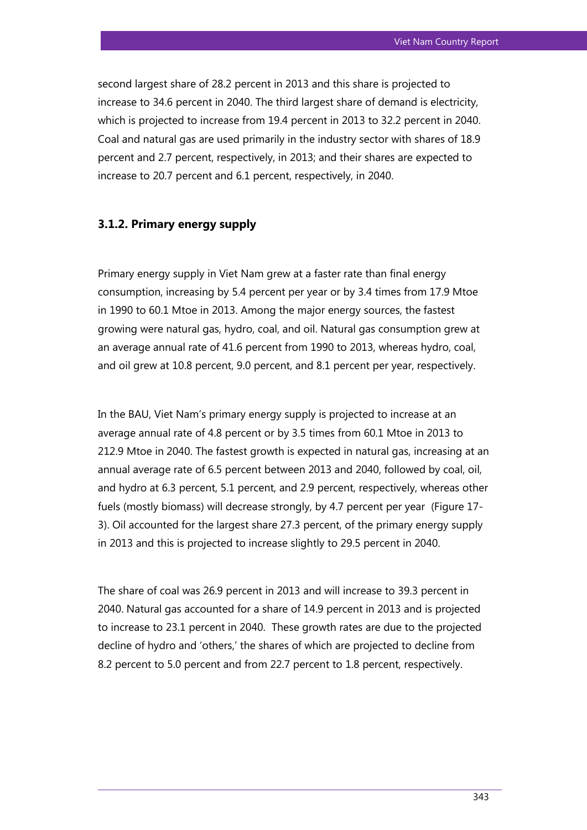second largest share of 28.2 percent in 2013 and this share is projected to increase to 34.6 percent in 2040. The third largest share of demand is electricity, which is projected to increase from 19.4 percent in 2013 to 32.2 percent in 2040. Coal and natural gas are used primarily in the industry sector with shares of 18.9 percent and 2.7 percent, respectively, in 2013; and their shares are expected to increase to 20.7 percent and 6.1 percent, respectively, in 2040.

#### **3.1.2. Primary energy supply**

Primary energy supply in Viet Nam grew at a faster rate than final energy consumption, increasing by 5.4 percent per year or by 3.4 times from 17.9 Mtoe in 1990 to 60.1 Mtoe in 2013. Among the major energy sources, the fastest growing were natural gas, hydro, coal, and oil. Natural gas consumption grew at an average annual rate of 41.6 percent from 1990 to 2013, whereas hydro, coal, and oil grew at 10.8 percent, 9.0 percent, and 8.1 percent per year, respectively.

In the BAU, Viet Nam's primary energy supply is projected to increase at an average annual rate of 4.8 percent or by 3.5 times from 60.1 Mtoe in 2013 to 212.9 Mtoe in 2040. The fastest growth is expected in natural gas, increasing at an annual average rate of 6.5 percent between 2013 and 2040, followed by coal, oil, and hydro at 6.3 percent, 5.1 percent, and 2.9 percent, respectively, whereas other fuels (mostly biomass) will decrease strongly, by 4.7 percent per year (Figure 17- 3). Oil accounted for the largest share 27.3 percent, of the primary energy supply in 2013 and this is projected to increase slightly to 29.5 percent in 2040.

The share of coal was 26.9 percent in 2013 and will increase to 39.3 percent in 2040. Natural gas accounted for a share of 14.9 percent in 2013 and is projected to increase to 23.1 percent in 2040. These growth rates are due to the projected decline of hydro and 'others,' the shares of which are projected to decline from 8.2 percent to 5.0 percent and from 22.7 percent to 1.8 percent, respectively.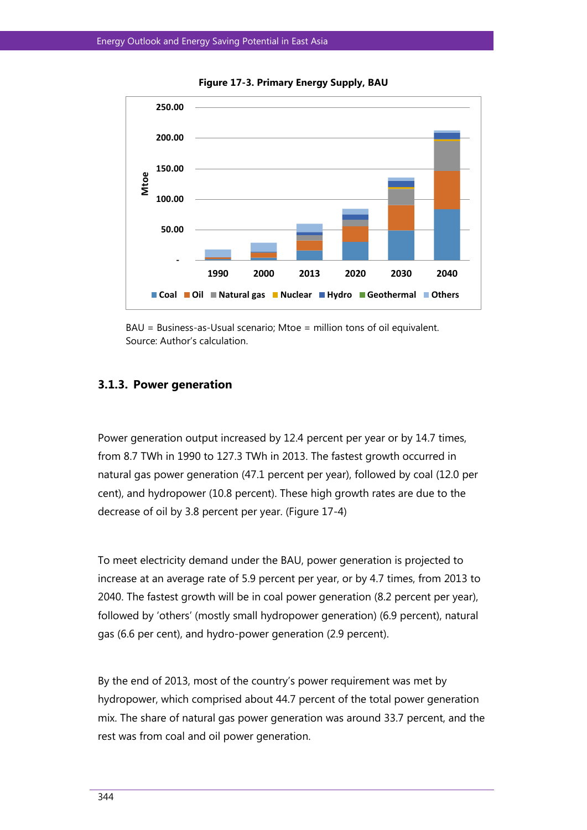

**Figure 17-3. Primary Energy Supply, BAU**



#### **3.1.3. Power generation**

Power generation output increased by 12.4 percent per year or by 14.7 times, from 8.7 TWh in 1990 to 127.3 TWh in 2013. The fastest growth occurred in natural gas power generation (47.1 percent per year), followed by coal (12.0 per cent), and hydropower (10.8 percent). These high growth rates are due to the decrease of oil by 3.8 percent per year. (Figure 17-4)

To meet electricity demand under the BAU, power generation is projected to increase at an average rate of 5.9 percent per year, or by 4.7 times, from 2013 to 2040. The fastest growth will be in coal power generation (8.2 percent per year), followed by 'others' (mostly small hydropower generation) (6.9 percent), natural gas (6.6 per cent), and hydro-power generation (2.9 percent).

By the end of 2013, most of the country's power requirement was met by hydropower, which comprised about 44.7 percent of the total power generation mix. The share of natural gas power generation was around 33.7 percent, and the rest was from coal and oil power generation.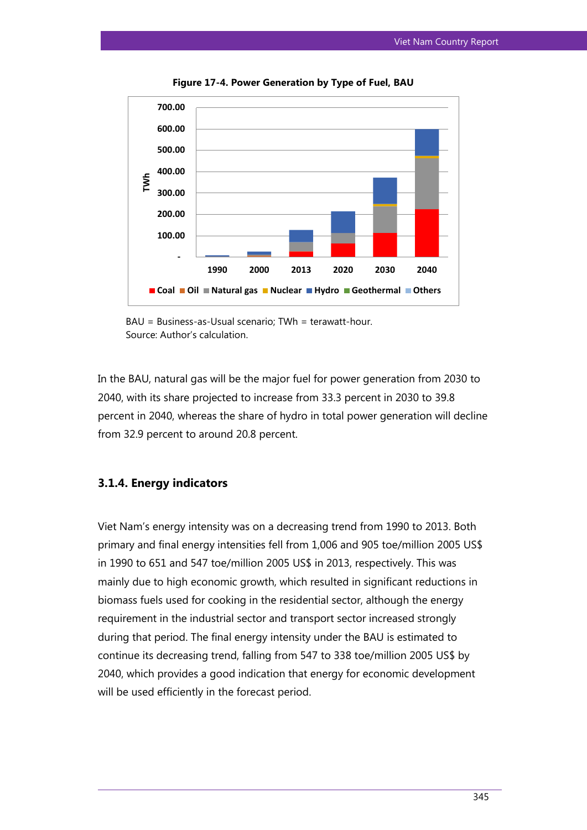

**Figure 17-4. Power Generation by Type of Fuel, BAU**

In the BAU, natural gas will be the major fuel for power generation from 2030 to 2040, with its share projected to increase from 33.3 percent in 2030 to 39.8 percent in 2040, whereas the share of hydro in total power generation will decline from 32.9 percent to around 20.8 percent.

## **3.1.4. Energy indicators**

Viet Nam's energy intensity was on a decreasing trend from 1990 to 2013. Both primary and final energy intensities fell from 1,006 and 905 toe/million 2005 US\$ in 1990 to 651 and 547 toe/million 2005 US\$ in 2013, respectively. This was mainly due to high economic growth, which resulted in significant reductions in biomass fuels used for cooking in the residential sector, although the energy requirement in the industrial sector and transport sector increased strongly during that period. The final energy intensity under the BAU is estimated to continue its decreasing trend, falling from 547 to 338 toe/million 2005 US\$ by 2040, which provides a good indication that energy for economic development will be used efficiently in the forecast period.

BAU = Business-as-Usual scenario; TWh = terawatt-hour. Source: Author's calculation.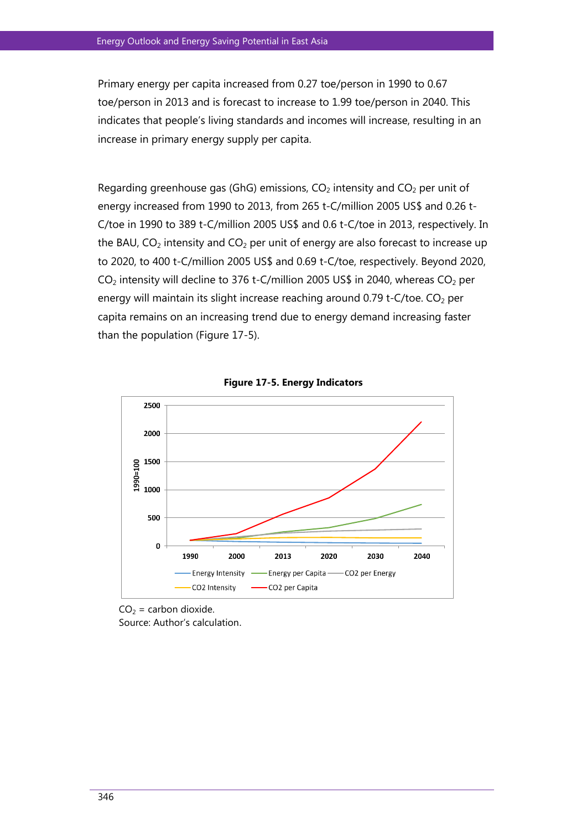Primary energy per capita increased from 0.27 toe/person in 1990 to 0.67 toe/person in 2013 and is forecast to increase to 1.99 toe/person in 2040. This indicates that people's living standards and incomes will increase, resulting in an increase in primary energy supply per capita.

Regarding greenhouse gas (GhG) emissions,  $CO<sub>2</sub>$  intensity and  $CO<sub>2</sub>$  per unit of energy increased from 1990 to 2013, from 265 t-C/million 2005 US\$ and 0.26 t-C/toe in 1990 to 389 t-C/million 2005 US\$ and 0.6 t-C/toe in 2013, respectively. In the BAU,  $CO<sub>2</sub>$  intensity and  $CO<sub>2</sub>$  per unit of energy are also forecast to increase up to 2020, to 400 t-C/million 2005 US\$ and 0.69 t-C/toe, respectively. Beyond 2020,  $CO<sub>2</sub>$  intensity will decline to 376 t-C/million 2005 US\$ in 2040, whereas  $CO<sub>2</sub>$  per energy will maintain its slight increase reaching around  $0.79$  t-C/toe.  $CO<sub>2</sub>$  per capita remains on an increasing trend due to energy demand increasing faster than the population (Figure 17-5).





 $CO<sub>2</sub> =$  carbon dioxide. Source: Author's calculation.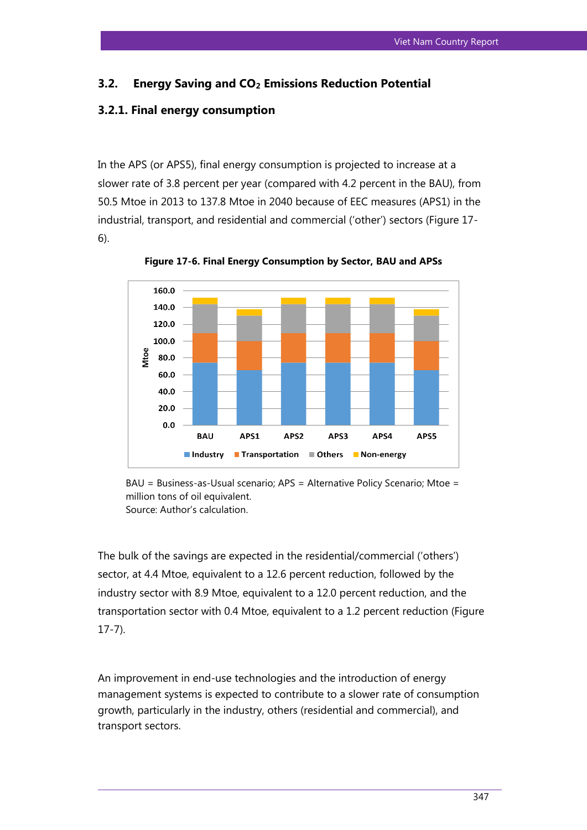#### **3.2. Energy Saving and CO2 Emissions Reduction Potential**

#### **3.2.1. Final energy consumption**

In the APS (or APS5), final energy consumption is projected to increase at a slower rate of 3.8 percent per year (compared with 4.2 percent in the BAU), from 50.5 Mtoe in 2013 to 137.8 Mtoe in 2040 because of EEC measures (APS1) in the industrial, transport, and residential and commercial ('other') sectors (Figure 17- 6).



**Figure 17-6. Final Energy Consumption by Sector, BAU and APSs**

BAU = Business-as-Usual scenario; APS = Alternative Policy Scenario; Mtoe = million tons of oil equivalent. Source: Author's calculation.

The bulk of the savings are expected in the residential/commercial ('others') sector, at 4.4 Mtoe, equivalent to a 12.6 percent reduction, followed by the industry sector with 8.9 Mtoe, equivalent to a 12.0 percent reduction, and the transportation sector with 0.4 Mtoe, equivalent to a 1.2 percent reduction (Figure 17-7).

An improvement in end-use technologies and the introduction of energy management systems is expected to contribute to a slower rate of consumption growth, particularly in the industry, others (residential and commercial), and transport sectors.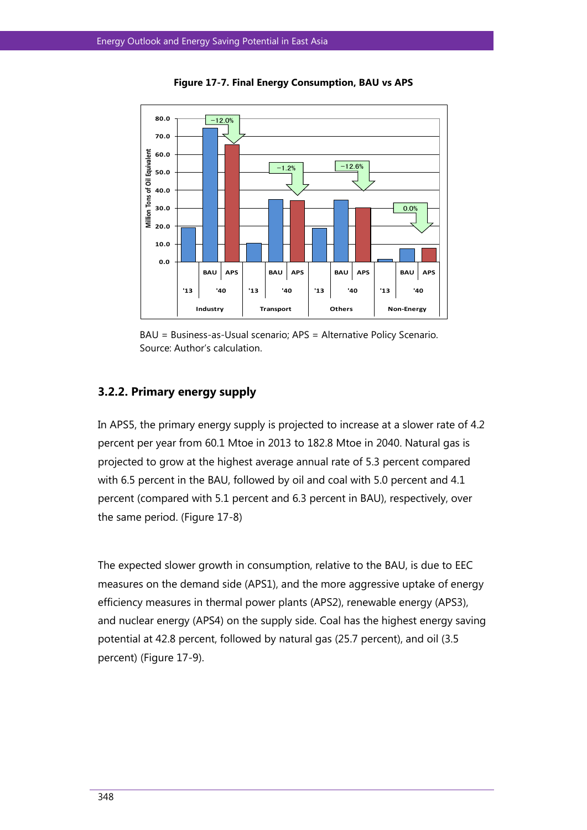

**Figure 17-7. Final Energy Consumption, BAU vs APS**

BAU = Business-as-Usual scenario; APS = Alternative Policy Scenario. Source: Author's calculation.

# **3.2.2. Primary energy supply**

In APS5, the primary energy supply is projected to increase at a slower rate of 4.2 percent per year from 60.1 Mtoe in 2013 to 182.8 Mtoe in 2040. Natural gas is projected to grow at the highest average annual rate of 5.3 percent compared with 6.5 percent in the BAU, followed by oil and coal with 5.0 percent and 4.1 percent (compared with 5.1 percent and 6.3 percent in BAU), respectively, over the same period. (Figure 17-8)

The expected slower growth in consumption, relative to the BAU, is due to EEC measures on the demand side (APS1), and the more aggressive uptake of energy efficiency measures in thermal power plants (APS2), renewable energy (APS3), and nuclear energy (APS4) on the supply side. Coal has the highest energy saving potential at 42.8 percent, followed by natural gas (25.7 percent), and oil (3.5 percent) (Figure 17-9).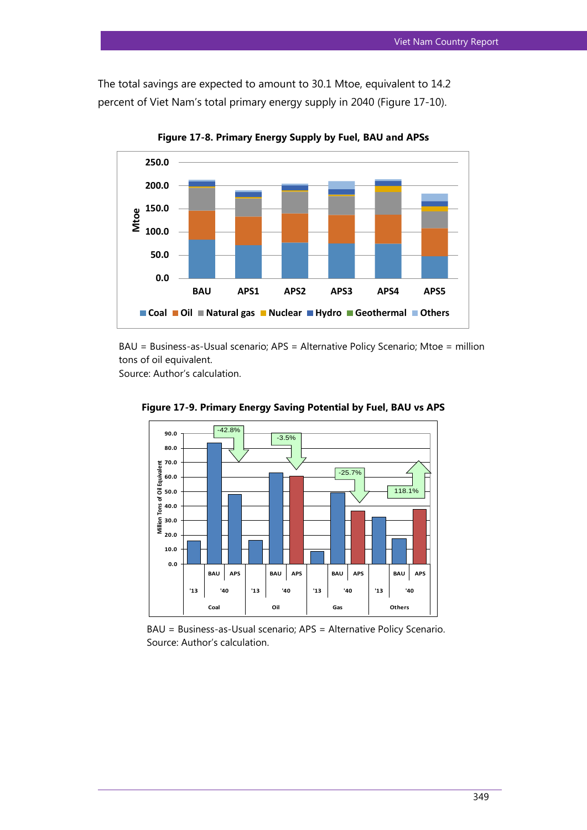The total savings are expected to amount to 30.1 Mtoe, equivalent to 14.2 percent of Viet Nam's total primary energy supply in 2040 (Figure 17-10).



**Figure 17-8. Primary Energy Supply by Fuel, BAU and APSs**

BAU = Business-as-Usual scenario; APS = Alternative Policy Scenario; Mtoe = million tons of oil equivalent.

Source: Author's calculation.



**Figure 17-9. Primary Energy Saving Potential by Fuel, BAU vs APS**

BAU = Business-as-Usual scenario; APS = Alternative Policy Scenario. Source: Author's calculation.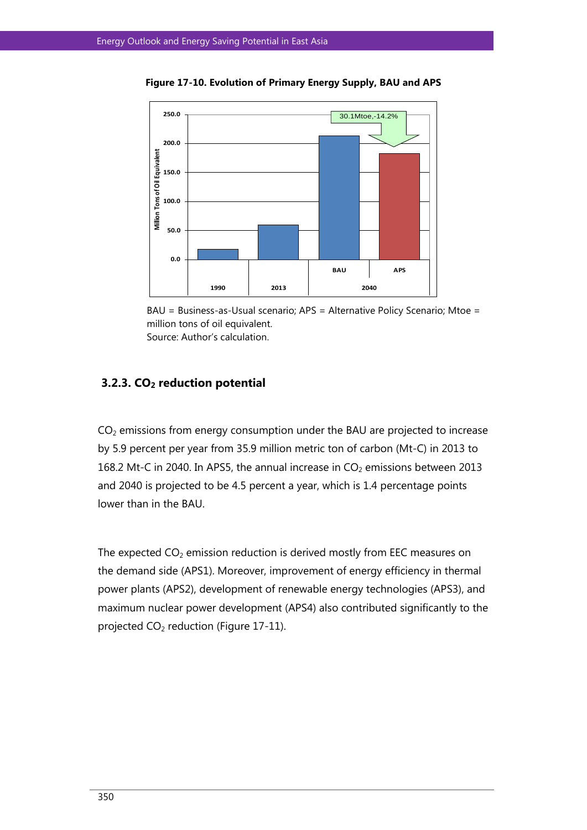

**Figure 17-10. Evolution of Primary Energy Supply, BAU and APS**



# **3.2.3. CO2 reduction potential**

 $CO<sub>2</sub>$  emissions from energy consumption under the BAU are projected to increase by 5.9 percent per year from 35.9 million metric ton of carbon (Mt-C) in 2013 to 168.2 Mt-C in 2040. In APS5, the annual increase in  $CO<sub>2</sub>$  emissions between 2013 and 2040 is projected to be 4.5 percent a year, which is 1.4 percentage points lower than in the BAU.

The expected  $CO<sub>2</sub>$  emission reduction is derived mostly from EEC measures on the demand side (APS1). Moreover, improvement of energy efficiency in thermal power plants (APS2), development of renewable energy technologies (APS3), and maximum nuclear power development (APS4) also contributed significantly to the projected  $CO<sub>2</sub>$  reduction (Figure 17-11).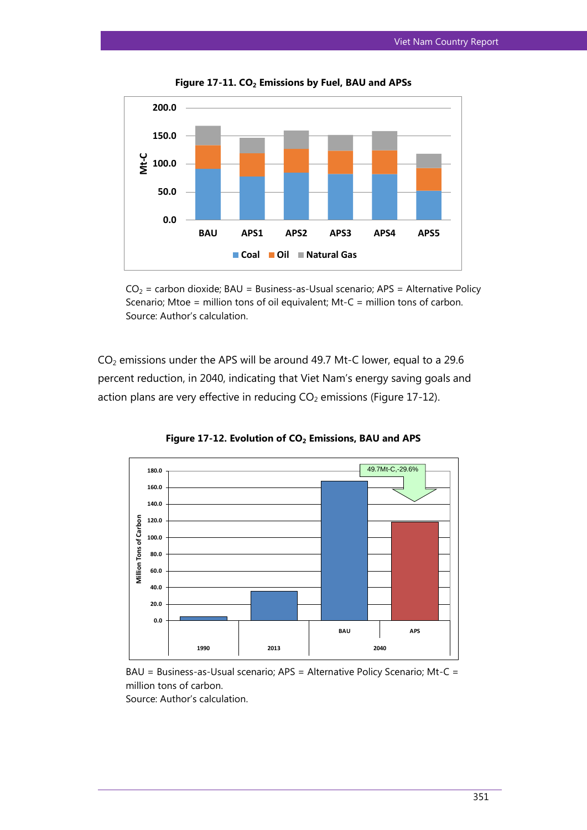

**Figure 17-11. CO<sup>2</sup> Emissions by Fuel, BAU and APSs**



 $CO<sub>2</sub>$  emissions under the APS will be around 49.7 Mt-C lower, equal to a 29.6 percent reduction, in 2040, indicating that Viet Nam's energy saving goals and action plans are very effective in reducing  $CO<sub>2</sub>$  emissions (Figure 17-12).



**Figure 17-12. Evolution of CO<sup>2</sup> Emissions, BAU and APS**

BAU = Business-as-Usual scenario; APS = Alternative Policy Scenario; Mt-C = million tons of carbon. Source: Author's calculation.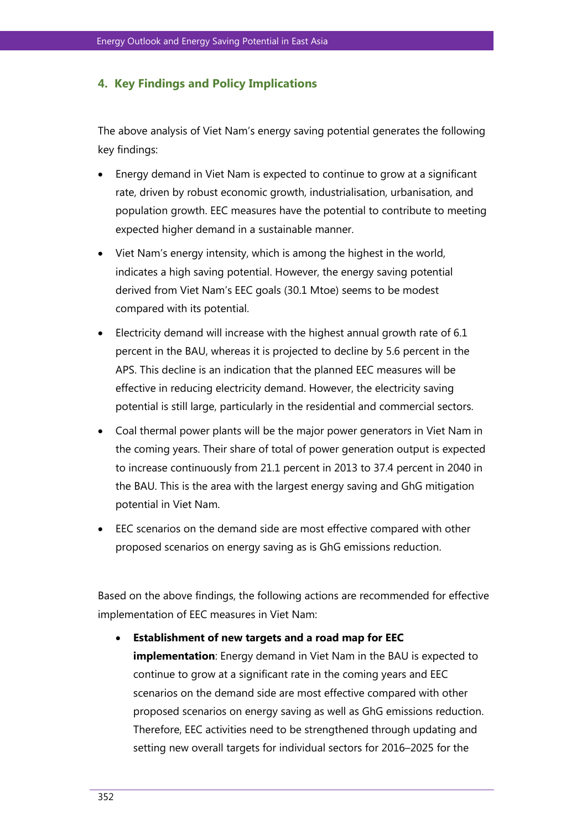## **4. Key Findings and Policy Implications**

The above analysis of Viet Nam's energy saving potential generates the following key findings:

- Energy demand in Viet Nam is expected to continue to grow at a significant rate, driven by robust economic growth, industrialisation, urbanisation, and population growth. EEC measures have the potential to contribute to meeting expected higher demand in a sustainable manner.
- Viet Nam's energy intensity, which is among the highest in the world, indicates a high saving potential. However, the energy saving potential derived from Viet Nam's EEC goals (30.1 Mtoe) seems to be modest compared with its potential.
- Electricity demand will increase with the highest annual growth rate of 6.1 percent in the BAU, whereas it is projected to decline by 5.6 percent in the APS. This decline is an indication that the planned EEC measures will be effective in reducing electricity demand. However, the electricity saving potential is still large, particularly in the residential and commercial sectors.
- Coal thermal power plants will be the major power generators in Viet Nam in the coming years. Their share of total of power generation output is expected to increase continuously from 21.1 percent in 2013 to 37.4 percent in 2040 in the BAU. This is the area with the largest energy saving and GhG mitigation potential in Viet Nam.
- EEC scenarios on the demand side are most effective compared with other proposed scenarios on energy saving as is GhG emissions reduction.

Based on the above findings, the following actions are recommended for effective implementation of EEC measures in Viet Nam:

 **Establishment of new targets and a road map for EEC implementation**: Energy demand in Viet Nam in the BAU is expected to continue to grow at a significant rate in the coming years and EEC scenarios on the demand side are most effective compared with other proposed scenarios on energy saving as well as GhG emissions reduction. Therefore, EEC activities need to be strengthened through updating and setting new overall targets for individual sectors for 2016–2025 for the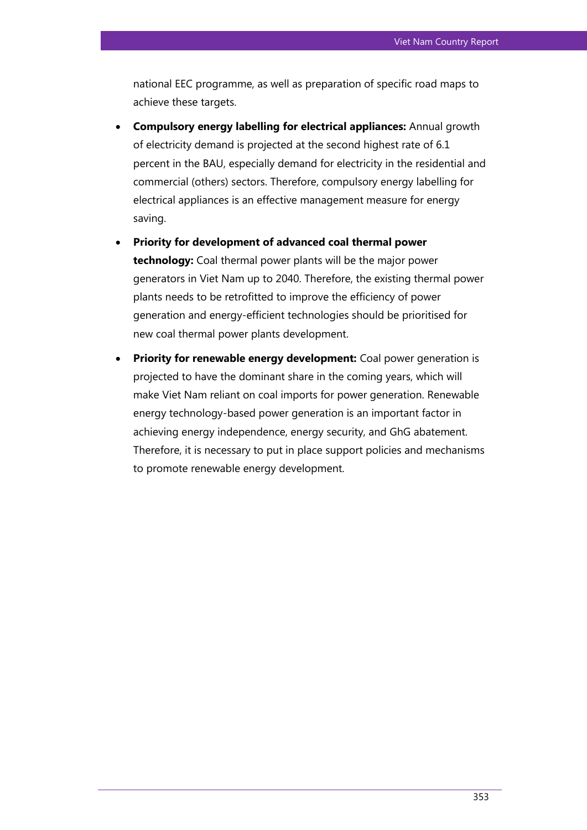national EEC programme, as well as preparation of specific road maps to achieve these targets.

- **Compulsory energy labelling for electrical appliances:** Annual growth of electricity demand is projected at the second highest rate of 6.1 percent in the BAU, especially demand for electricity in the residential and commercial (others) sectors. Therefore, compulsory energy labelling for electrical appliances is an effective management measure for energy saving.
- **Priority for development of advanced coal thermal power technology:** Coal thermal power plants will be the major power generators in Viet Nam up to 2040. Therefore, the existing thermal power plants needs to be retrofitted to improve the efficiency of power generation and energy-efficient technologies should be prioritised for new coal thermal power plants development.
- **Priority for renewable energy development:** Coal power generation is projected to have the dominant share in the coming years, which will make Viet Nam reliant on coal imports for power generation. Renewable energy technology-based power generation is an important factor in achieving energy independence, energy security, and GhG abatement. Therefore, it is necessary to put in place support policies and mechanisms to promote renewable energy development.